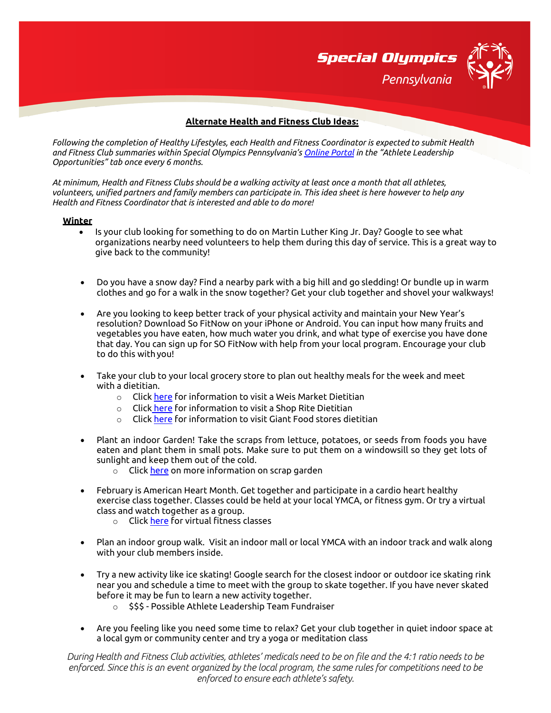

### **Alternate Health and Fitness Club Ideas:**

*Following the completion of Healthy Lifestyles, each Health and Fitness Coordinator is expected to submit Health and Fitness Club summaries within Special Olympics Pennsylvania's [Online Portal](https://vsys.specialolympicspa.org/) in the "Athlete Leadership Opportunities" tab once every 6 months.* 

*At minimum, Health and Fitness Clubs should be a walking activity at least once a month that all athletes, volunteers, unified partners and family members can participate in. This idea sheet is here however to help any Health and Fitness Coordinator that is interested and able to do more!*

#### **Winter**

- Is your club looking for something to do on Martin Luther King Jr. Day? Google to see what organizations nearby need volunteers to help them during this day of service. This is a great way to give back to the community!
- Do you have a snow day? Find a nearby park with a big hill and go sledding! Or bundle up in warm clothes and go for a walk in the snow together? Get your club together and shovel your walkways!
- Are you looking to keep better track of your physical activity and maintain your New Year's resolution? Download So FitNow on your iPhone or Android. You can input how many fruits and vegetables you have eaten, how much water you drink, and what type of exercise you have done that day. You can sign up for SO FitNow with help from your local program. Encourage your club to do this with you!
- Take your club to your local grocery store to plan out healthy meals for the week and meet with a dietitian.
	- $\circ$  Click [here](https://www.weismarkets.com/ask-a-dietitian) for information to visit a Weis Market Dietitian
	- o Click [here](https://dietitians.shoprite.com/) for information to visit a Shop Rite Dietitian
	- o Click [here](https://giantfood.com/pages/health-and-wellness) for information to visit Giant Food stores dietitian
- Plant an indoor Garden! Take the scraps from lettuce, potatoes, or seeds from foods you have eaten and plant them in small pots. Make sure to put them on a windowsill so they get lots of sunlight and keep them out of the cold.
	- o Click [here](https://www.gardentech.com/blog/gardening-and-healthy-living/growing-food-from-kitchen-scraps) on more information on scrap garden
- February is American Heart Month. Get together and participate in a cardio heart healthy exercise class together. Classes could be held at your local YMCA, or fitness gym. Or try a virtual class and watch together as a group.
	- o Click [here](https://hasfit.com/) for virtual fitness classes
- Plan an indoor group walk. Visit an indoor mall or local YMCA with an indoor track and walk along with your club members inside.
- Try a new activity like ice skating! Google search for the closest indoor or outdoor ice skating rink near you and schedule a time to meet with the group to skate together. If you have never skated before it may be fun to learn a new activity together.
	- o \$\$\$ Possible Athlete Leadership Team Fundraiser
- Are you feeling like you need some time to relax? Get your club together in quiet indoor space at a local gym or community center and try a yoga or meditation class

*During Health and Fitness Club activities, athletes' medicals need to be on file and the 4:1 ratio needs to be enforced. Since this is an event organized by the local program, the same rules for competitions need to be enforced to ensure each athlete's safety.*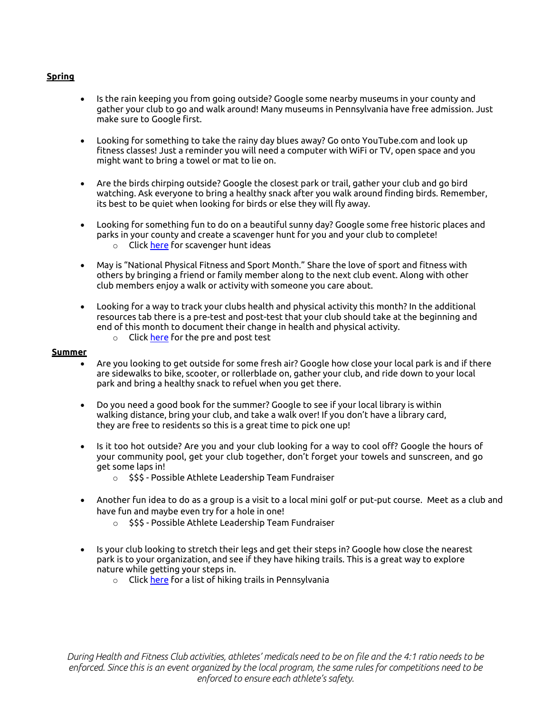# **Spring**

- Is the rain keeping you from going outside? Google some nearby museums in your county and gather your club to go and walk around! Many museums in Pennsylvania have free admission. Just make sure to Google first.
- Looking for something to take the rainy day blues away? Go onto YouTube.com and look up fitness classes! Just a reminder you will need a computer with WiFi or TV, open space and you might want to bring a towel or mat to lie on.
- Are the birds chirping outside? Google the closest park or trail, gather your club and go bird watching. Ask everyone to bring a healthy snack after you walk around finding birds. Remember, its best to be quiet when looking for birds or else they will fly away.
- Looking for something fun to do on a beautiful sunny day? Google some free historic places and parks in your county and create a scavenger hunt for you and your club to complete! o Click [here](http://www.lovetheoutdoors.com/camping/kids/scavengerhunt.htm) for scavenger hunt ideas
- May is "National Physical Fitness and Sport Month." Share the love of sport and fitness with others by bringing a friend or family member along to the next club event. Along with other club members enjoy a walk or activity with someone you care about.
- Looking for a way to track your clubs health and physical activity this month? In the additional resources tab there is a pre-test and post-test that your club should take at the beginning and end of this month to document their change in health and physical activity.
	- $\circ$  Click [here](https://media.specialolympics.org/resources/sports-essentials/fitness-model-resources/Lifestyle-Survey-Pre-test.pdf?_ga=2.204482329.886045137.1528995780-683029080.1528995780) for the pre and post test

#### **Summer**

- Are you looking to get outside for some fresh air? Google how close your local park is and if there are sidewalks to bike, scooter, or rollerblade on, gather your club, and ride down to your local park and bring a healthy snack to refuel when you get there.
- Do you need a good book for the summer? Google to see if your local library is within walking distance, bring your club, and take a walk over! If you don't have a library card, they are free to residents so this is a great time to pick one up!
- Is it too hot outside? Are you and your club looking for a way to cool off? Google the hours of your community pool, get your club together, don't forget your towels and sunscreen, and go get some laps in!
	- $\circ$  \$\$\$ Possible Athlete Leadership Team Fundraiser
- Another fun idea to do as a group is a visit to a local mini golf or put-put course. Meet as a club and have fun and maybe even try for a hole in one!
	- $\circ$  \$\$\$ Possible Athlete Leadership Team Fundraiser
- Is your club looking to stretch their legs and get their steps in? Google how close the nearest park is to your organization, and see if they have hiking trails. This is a great way to explore nature while getting your steps in.
	- o Click [here](https://www.alltrails.com/us/pennsylvania) for a list of hiking trails in Pennsylvania

*During Health and Fitness Club activities, athletes' medicals need to be on file and the 4:1 ratio needs to be enforced. Since this is an event organized by the local program, the same rules for competitions need to be enforced to ensure each athlete's safety.*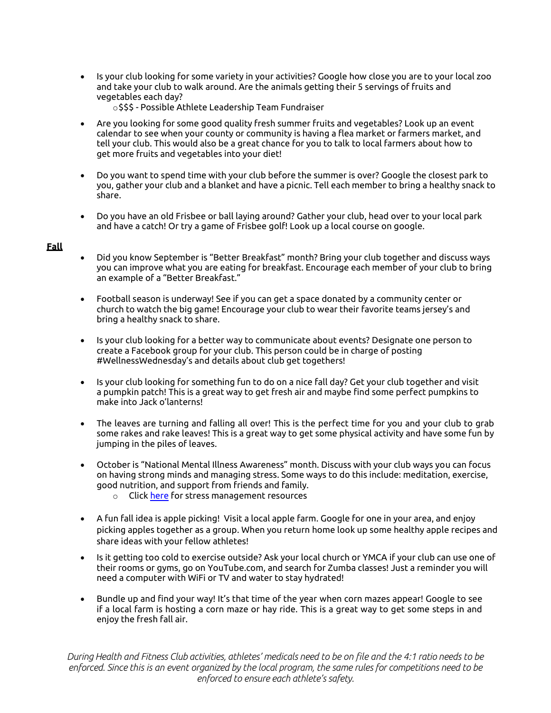- Is your club looking for some variety in your activities? Google how close you are to your local zoo and take your club to walk around. Are the animals getting their 5 servings of fruits and vegetables each day?
	- o\$\$\$ Possible Athlete Leadership Team Fundraiser
- Are you looking for some good quality fresh summer fruits and vegetables? Look up an event calendar to see when your county or community is having a flea market or farmers market, and tell your club. This would also be a great chance for you to talk to local farmers about how to get more fruits and vegetables into your diet!
- Do you want to spend time with your club before the summer is over? Google the closest park to you, gather your club and a blanket and have a picnic. Tell each member to bring a healthy snack to share.
- Do you have an old Frisbee or ball laying around? Gather your club, head over to your local park and have a catch! Or try a game of Frisbee golf! Look up a local course on google.

# **Fall**

- Did you know September is "Better Breakfast" month? Bring your club together and discuss ways you can improve what you are eating for breakfast. Encourage each member of your club to bring an example of a "Better Breakfast."
- Football season is underway! See if you can get a space donated by a community center or church to watch the big game! Encourage your club to wear their favorite teams jersey's and bring a healthy snack to share.
- Is your club looking for a better way to communicate about events? Designate one person to create a Facebook group for your club. This person could be in charge of posting #WellnessWednesday's and details about club get togethers!
- Is your club looking for something fun to do on a nice fall day? Get your club together and visit a pumpkin patch! This is a great way to get fresh air and maybe find some perfect pumpkins to make into Jack o'lanterns!
- The leaves are turning and falling all over! This is the perfect time for you and your club to grab some rakes and rake leaves! This is a great way to get some physical activity and have some fun by jumping in the piles of leaves.
- October is "National Mental Illness Awareness" month. Discuss with your club ways you can focus on having strong minds and managing stress. Some ways to do this include: meditation, exercise, good nutrition, and support from friends and family.
	- o Click [here](https://media.specialolympics.org/resources/health/disciplines/strongminds/Strong-Minds-Tips-for-Stress.pdf?_ga=2.202796952.886045137.1528995780-683029080.1528995780) for stress management resources
- A fun fall idea is apple picking! Visit a local apple farm. Google for one in your area, and enjoy picking apples together as a group. When you return home look up some healthy apple recipes and share ideas with your fellow athletes!
- Is it getting too cold to exercise outside? Ask your local church or YMCA if your club can use one of their rooms or gyms, go on YouTube.com, and search for Zumba classes! Just a reminder you will need a computer with WiFi or TV and water to stay hydrated!
- Bundle up and find your way! It's that time of the year when corn mazes appear! Google to see if a local farm is hosting a corn maze or hay ride. This is a great way to get some steps in and enjoy the fresh fall air.

*During Health and Fitness Club activities, athletes' medicals need to be on file and the 4:1 ratio needs to be enforced. Since this is an event organized by the local program, the same rules for competitions need to be enforced to ensure each athlete's safety.*